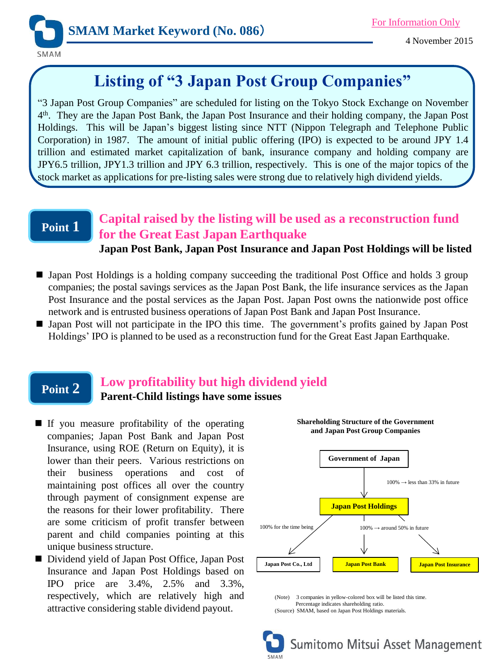

# **Listing of "3 Japan Post Group Companies"**

"3 Japan Post Group Companies" are scheduled for listing on the Tokyo Stock Exchange on November 4 th . They are the Japan Post Bank, the Japan Post Insurance and their holding company, the Japan Post Holdings. This will be Japan's biggest listing since NTT (Nippon Telegraph and Telephone Public Corporation) in 1987. The amount of initial public offering (IPO) is expected to be around JPY 1.4 trillion and estimated market capitalization of bank, insurance company and holding company are JPY6.5 trillion, JPY1.3 trillion and JPY 6.3 trillion, respectively. This is one of the major topics of the stock market as applications for pre-listing sales were strong due to relatively high dividend yields.

### **Point 1**

### **Capital raised by the listing will be used as a reconstruction fund for the Great East Japan Earthquake**

#### **Japan Post Bank, Japan Post Insurance and Japan Post Holdings will be listed**

- Japan Post Holdings is a holding company succeeding the traditional Post Office and holds 3 group companies; the postal savings services as the Japan Post Bank, the life insurance services as the Japan Post Insurance and the postal services as the Japan Post. Japan Post owns the nationwide post office network and is entrusted business operations of Japan Post Bank and Japan Post Insurance.
- I Japan Post will not participate in the IPO this time. The government's profits gained by Japan Post Holdings' IPO is planned to be used as a reconstruction fund for the Great East Japan Earthquake.

### **Point 2**

# **Low profitability but high dividend yield**

**Parent-Child listings have some issues**

- If you measure profitability of the operating companies; Japan Post Bank and Japan Post Insurance, using ROE (Return on Equity), it is lower than their peers. Various restrictions on their business operations and cost of maintaining post offices all over the country through payment of consignment expense are the reasons for their lower profitability. There are some criticism of profit transfer between parent and child companies pointing at this unique business structure.
- Dividend yield of Japan Post Office, Japan Post Insurance and Japan Post Holdings based on IPO price are 3.4%, 2.5% and 3.3%, respectively, which are relatively high and attractive considering stable dividend payout.



**Shareholding Structure of the Government and Japan Post Group Companies** 

(Note) 3 companies in yellow-colored box will be listed this time. Percentage indicates shareholding ratio. (Source) SMAM, based on Japan Post Holdings materials.

Sumitomo Mitsui Asset Management